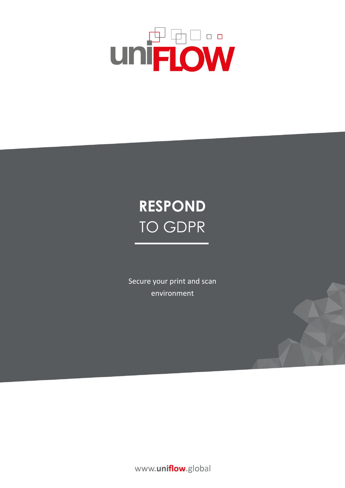

# **RESPOND** TO GDPR

Secure your print and scan environment

www.uniflow.global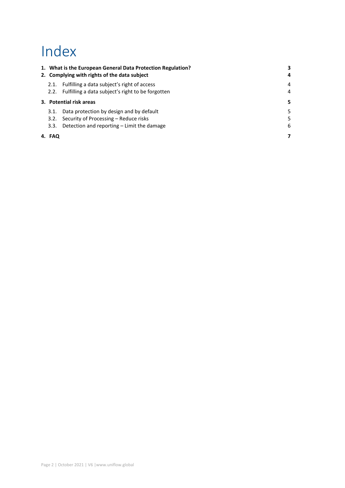## Index

|                         |        | 1. What is the European General Data Protection Regulation?<br>2. Complying with rights of the data subject | 4 |
|-------------------------|--------|-------------------------------------------------------------------------------------------------------------|---|
|                         | 2.1.   | Fulfilling a data subject's right of access                                                                 | 4 |
|                         |        | 2.2. Fulfilling a data subject's right to be forgotten                                                      | 4 |
| 3. Potential risk areas |        | 5                                                                                                           |   |
|                         | 3.1.   | Data protection by design and by default                                                                    | 5 |
|                         | 3.2.   | Security of Processing – Reduce risks                                                                       | 5 |
|                         | 3.3.   | Detection and reporting – Limit the damage                                                                  | 6 |
|                         | 4. FAQ |                                                                                                             |   |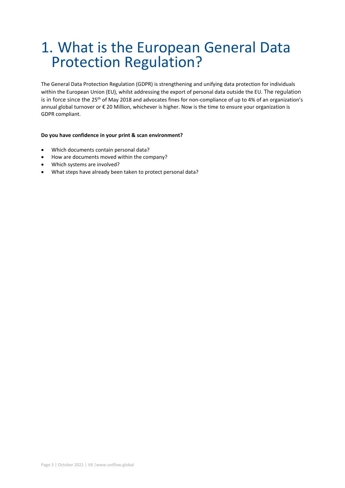## <span id="page-2-0"></span>1. What is the European General Data Protection Regulation?

The General Data Protection Regulation (GDPR) is strengthening and unifying data protection for individuals within the European Union (EU), whilst addressing the export of personal data outside the EU. The regulation is in force since the 25<sup>th</sup> of May 2018 and advocates fines for non-compliance of up to 4% of an organization's annual global turnover or € 20 Million, whichever is higher. Now is the time to ensure your organization is GDPR compliant.

#### **Do you have confidence in your print & scan environment?**

- Which documents contain personal data?
- How are documents moved within the company?
- Which systems are involved?
- What steps have already been taken to protect personal data?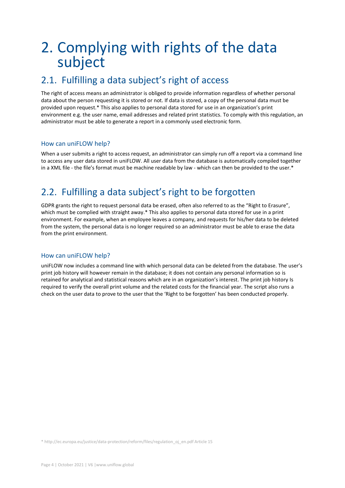## <span id="page-3-0"></span>2. Complying with rights of the data subject

### <span id="page-3-1"></span>2.1. Fulfilling a data subject's right of access

The right of access means an administrator is obliged to provide information regardless of whether personal data about the person requesting it is stored or not. If data is stored, a copy of the personal data must be provided upon request.\* This also applies to personal data stored for use in an organization's print environment e.g. the user name, email addresses and related print statistics. To comply with this regulation, an administrator must be able to generate a report in a commonly used electronic form.

#### How can uniFLOW help?

When a user submits a right to access request, an administrator can simply run off a report via a command line to access any user data stored in uniFLOW. All user data from the database is automatically compiled together in a XML file - the file's format must be machine readable by law - which can then be provided to the user.\*

### <span id="page-3-2"></span>2.2. Fulfilling a data subject's right to be forgotten

GDPR grants the right to request personal data be erased, often also referred to as the "Right to Erasure", which must be complied with straight away.\* This also applies to personal data stored for use in a print environment. For example, when an employee leaves a company, and requests for his/her data to be deleted from the system, the personal data is no longer required so an administrator must be able to erase the data from the print environment.

#### How can uniFLOW help?

uniFLOW now includes a command line with which personal data can be deleted from the database. The user's print job history will however remain in the database; it does not contain any personal information so is retained for analytical and statistical reasons which are in an organization's interest. The print job history Is required to verify the overall print volume and the related costs for the financial year. The script also runs a check on the user data to prove to the user that the 'Right to be forgotten' has been conducted properly.

\* http://ec.europa.eu/justice/data-protection/reform/files/regulation\_oj\_en.pdf Article 15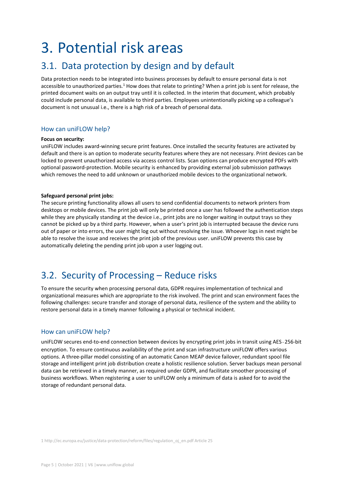## <span id="page-4-0"></span>3. Potential risk areas

### <span id="page-4-1"></span>3.1. Data protection by design and by default

Data protection needs to be integrated into business processes by default to ensure personal data is not accessible to unauthorized parties.<sup>1</sup> How does that relate to printing? When a print job is sent for release, the printed document waits on an output tray until it is collected. In the interim that document, which probably could include personal data, is available to third parties. Employees unintentionally picking up a colleague's document is not unusual i.e., there is a high risk of a breach of personal data.

#### How can uniFLOW help?

#### **Focus on security:**

uniFLOW includes award-winning secure print features. Once installed the security features are activated by default and there is an option to moderate security features where they are not necessary. Print devices can be locked to prevent unauthorized access via access control lists. Scan options can produce encrypted PDFs with optional password-protection. Mobile security is enhanced by providing external job submission pathways which removes the need to add unknown or unauthorized mobile devices to the organizational network.

#### **Safeguard personal print jobs:**

The secure printing functionality allows all users to send confidential documents to network printers from desktops or mobile devices. The print job will only be printed once a user has followed the authentication steps while they are physically standing at the device i.e., print jobs are no longer waiting in output trays so they cannot be picked up by a third party. However, when a user's print job is interrupted because the device runs out of paper or into errors, the user might log out without resolving the issue. Whoever logs in next might be able to resolve the issue and receives the print job of the previous user. uniFLOW prevents this case by automatically deleting the pending print job upon a user logging out.

### <span id="page-4-2"></span>3.2. Security of Processing – Reduce risks

To ensure the security when processing personal data, GDPR requires implementation of technical and organizational measures which are appropriate to the risk involved. The print and scan environment faces the following challenges: secure transfer and storage of personal data, resilience of the system and the ability to restore personal data in a timely manner following a physical or technical incident.

#### How can uniFLOW help?

uniFLOW secures end-to-end connection between devices by encrypting print jobs in transit using AES‐256-bit encryption. To ensure continuous availability of the print and scan infrastructure uniFLOW offers various options. A three-pillar model consisting of an automatic Canon MEAP device failover, redundant spool file storage and intelligent print job distribution create a holistic resilience solution. Server backups mean personal data can be retrieved in a timely manner, as required under GDPR, and facilitate smoother processing of business workflows. When registering a user to uniFLOW only a minimum of data is asked for to avoid the storage of redundant personal data.

1 http://ec.europa.eu/justice/data-protection/reform/files/regulation\_oj\_en.pdf Article 25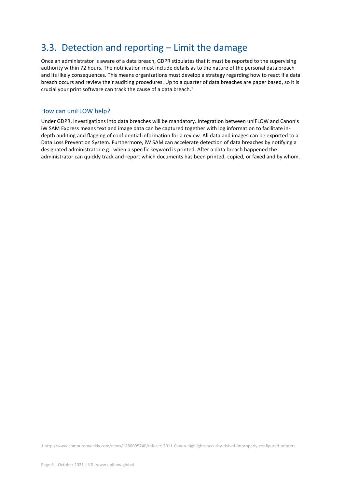### <span id="page-5-0"></span>3.3. Detection and reporting – Limit the damage

Once an administrator is aware of a data breach, GDPR stipulates that it must be reported to the supervising authority within 72 hours. The notification must include details as to the nature of the personal data breach and its likely consequences. This means organizations must develop a strategy regarding how to react if a data breach occurs and review their auditing procedures. Up to a quarter of data breaches are paper based, so it is crucial your print software can track the cause of a data breach. $^{\rm 1}$ 

#### How can uniFLOW help?

Under GDPR, investigations into data breaches will be mandatory. Integration between uniFLOW and Canon's iW SAM Express means text and image data can be captured together with log information to facilitate indepth auditing and flagging of confidential information for a review. All data and images can be exported to a Data Loss Prevention System. Furthermore, iW SAM can accelerate detection of data breaches by notifying a designated administrator e.g., when a specific keyword is printed. After a data breach happened the administrator can quickly track and report which documents has been printed, copied, or faxed and by whom.

[1 http://www.computerweekly.com/news/1280095740/Infosec-2011-Canon-highlights-security-risk-of-improperly-configured-printers](http://www.computerweekly.com/news/1280095740/Infosec-2011-Canon-highlights-security-risk-of-improperly-configured-printers)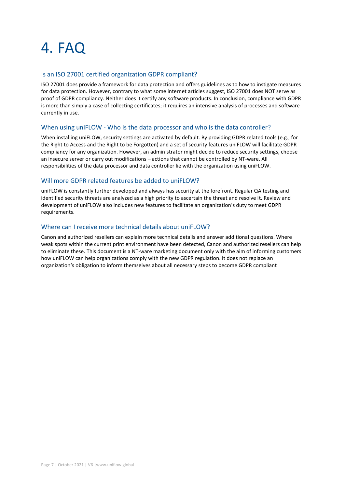## <span id="page-6-0"></span>4. FAQ

#### Is an ISO 27001 certified organization GDPR compliant?

ISO 27001 does provide a framework for data protection and offers guidelines as to how to instigate measures for data protection. However, contrary to what some internet articles suggest, ISO 27001 does NOT serve as proof of GDPR compliancy. Neither does it certify any software products. In conclusion, compliance with GDPR is more than simply a case of collecting certificates; it requires an intensive analysis of processes and software currently in use.

#### When using uniFLOW - Who is the data processor and who is the data controller?

When installing uniFLOW, security settings are activated by default. By providing GDPR related tools (e.g., for the Right to Access and the Right to be Forgotten) and a set of security features uniFLOW will facilitate GDPR compliancy for any organization. However, an administrator might decide to reduce security settings, choose an insecure server or carry out modifications – actions that cannot be controlled by NT-ware. All responsibilities of the data processor and data controller lie with the organization using uniFLOW.

#### Will more GDPR related features be added to uniFLOW?

uniFLOW is constantly further developed and always has security at the forefront. Regular QA testing and identified security threats are analyzed as a high priority to ascertain the threat and resolve it. Review and development of uniFLOW also includes new features to facilitate an organization's duty to meet GDPR requirements.

#### Where can I receive more technical details about uniFLOW?

Canon and authorized resellers can explain more technical details and answer additional questions. Where weak spots within the current print environment have been detected, Canon and authorized resellers can help to eliminate these. This document is a NT-ware marketing document only with the aim of informing customers how uniFLOW can help organizations comply with the new GDPR regulation. It does not replace an organization's obligation to inform themselves about all necessary steps to become GDPR compliant